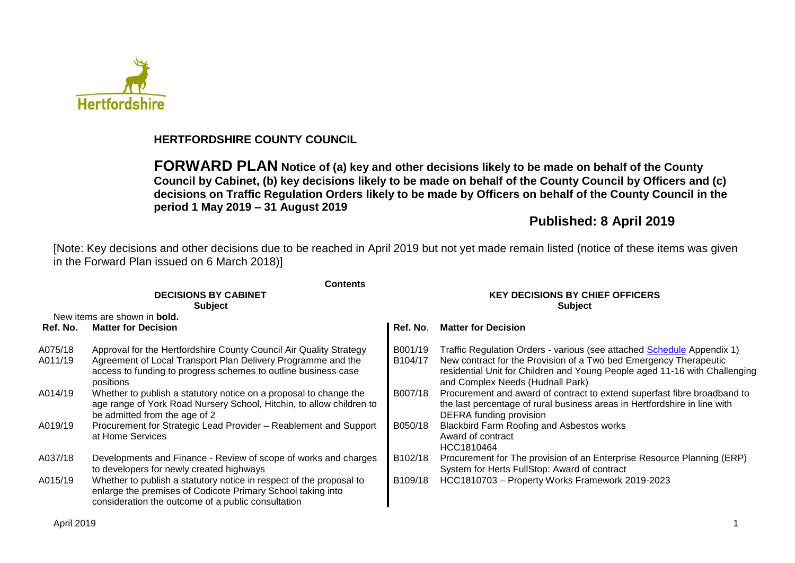

#### **HERTFORDSHIRE COUNTY COUNCIL**

**FORWARD PLAN Notice of (a) key and other decisions likely to be made on behalf of the County Council by Cabinet, (b) key decisions likely to be made on behalf of the County Council by Officers and (c) decisions on Traffic Regulation Orders likely to be made by Officers on behalf of the County Council in the period 1 May 2019 – 31 August 2019**

## **Published: 8 April 2019**

[Note: Key decisions and other decisions due to be reached in April 2019 but not yet made remain listed (notice of these items was given in the Forward Plan issued on 6 March 2018)]

|                    | <b>Contents</b>                                                                                                                                                                                                   |                                                          |                                                                                                                                                                                                                                                               |  |  |  |
|--------------------|-------------------------------------------------------------------------------------------------------------------------------------------------------------------------------------------------------------------|----------------------------------------------------------|---------------------------------------------------------------------------------------------------------------------------------------------------------------------------------------------------------------------------------------------------------------|--|--|--|
|                    | <b>DECISIONS BY CABINET</b><br><b>Subject</b>                                                                                                                                                                     | <b>KEY DECISIONS BY CHIEF OFFICERS</b><br><b>Subject</b> |                                                                                                                                                                                                                                                               |  |  |  |
|                    | New items are shown in <b>bold.</b>                                                                                                                                                                               |                                                          |                                                                                                                                                                                                                                                               |  |  |  |
| Ref. No.           | <b>Matter for Decision</b>                                                                                                                                                                                        | Ref. No.                                                 | <b>Matter for Decision</b>                                                                                                                                                                                                                                    |  |  |  |
| A075/18<br>A011/19 | Approval for the Hertfordshire County Council Air Quality Strategy<br>Agreement of Local Transport Plan Delivery Programme and the<br>access to funding to progress schemes to outline business case<br>positions | B001/19<br>B104/17                                       | Traffic Regulation Orders - various (see attached Schedule Appendix 1)<br>New contract for the Provision of a Two bed Emergency Therapeutic<br>residential Unit for Children and Young People aged 11-16 with Challenging<br>and Complex Needs (Hudnall Park) |  |  |  |
| A014/19            | Whether to publish a statutory notice on a proposal to change the<br>age range of York Road Nursery School, Hitchin, to allow children to<br>be admitted from the age of 2                                        | B007/18                                                  | Procurement and award of contract to extend superfast fibre broadband to<br>the last percentage of rural business areas in Hertfordshire in line with<br>DEFRA funding provision                                                                              |  |  |  |
| A019/19            | Procurement for Strategic Lead Provider - Reablement and Support<br>at Home Services                                                                                                                              | B050/18                                                  | <b>Blackbird Farm Roofing and Asbestos works</b><br>Award of contract<br>HCC1810464                                                                                                                                                                           |  |  |  |
| A037/18            | Developments and Finance - Review of scope of works and charges<br>to developers for newly created highways                                                                                                       | B102/18                                                  | Procurement for The provision of an Enterprise Resource Planning (ERP)<br>System for Herts FullStop: Award of contract                                                                                                                                        |  |  |  |
| A015/19            | Whether to publish a statutory notice in respect of the proposal to<br>enlarge the premises of Codicote Primary School taking into<br>consideration the outcome of a public consultation                          | B109/18                                                  | HCC1810703 - Property Works Framework 2019-2023                                                                                                                                                                                                               |  |  |  |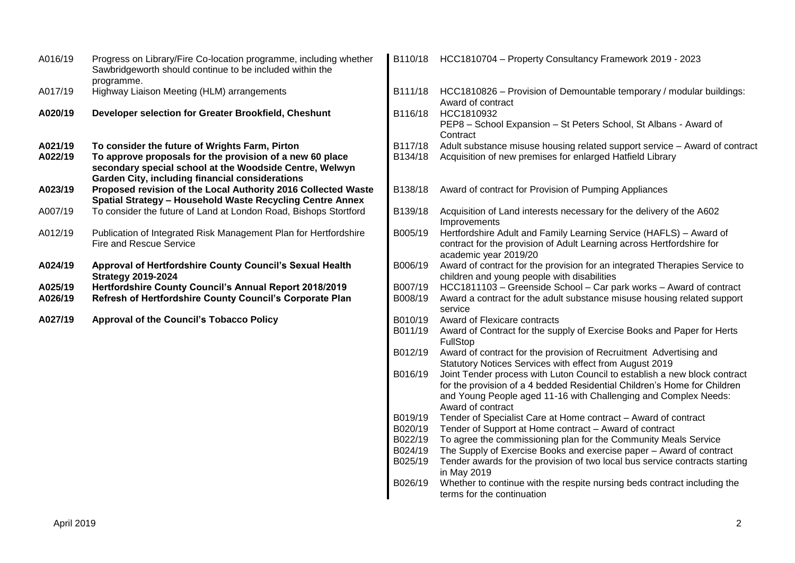| A016/19            | Progress on Library/Fire Co-location programme, including whether<br>Sawbridgeworth should continue to be included within the<br>programme.                                                                                     |                    | B110/18 HCC1810704 - Property Consultancy Framework 2019 - 2023                                                                                                                                                                               |
|--------------------|---------------------------------------------------------------------------------------------------------------------------------------------------------------------------------------------------------------------------------|--------------------|-----------------------------------------------------------------------------------------------------------------------------------------------------------------------------------------------------------------------------------------------|
| A017/19            | Highway Liaison Meeting (HLM) arrangements                                                                                                                                                                                      | B111/18            | HCC1810826 - Provision of Demountable temporary / modular buildings:<br>Award of contract                                                                                                                                                     |
| A020/19            | Developer selection for Greater Brookfield, Cheshunt                                                                                                                                                                            | B116/18            | HCC1810932<br>PEP8 - School Expansion - St Peters School, St Albans - Award of<br>Contract                                                                                                                                                    |
| A021/19<br>A022/19 | To consider the future of Wrights Farm, Pirton<br>To approve proposals for the provision of a new 60 place<br>secondary special school at the Woodside Centre, Welwyn<br><b>Garden City, including financial considerations</b> | B117/18<br>B134/18 | Adult substance misuse housing related support service - Award of contract<br>Acquisition of new premises for enlarged Hatfield Library                                                                                                       |
| A023/19            | Proposed revision of the Local Authority 2016 Collected Waste<br>Spatial Strategy - Household Waste Recycling Centre Annex                                                                                                      | B138/18            | Award of contract for Provision of Pumping Appliances                                                                                                                                                                                         |
| A007/19            | To consider the future of Land at London Road, Bishops Stortford                                                                                                                                                                | B139/18            | Acquisition of Land interests necessary for the delivery of the A602<br>Improvements                                                                                                                                                          |
| A012/19            | Publication of Integrated Risk Management Plan for Hertfordshire<br>Fire and Rescue Service                                                                                                                                     | B005/19            | Hertfordshire Adult and Family Learning Service (HAFLS) - Award of<br>contract for the provision of Adult Learning across Hertfordshire for<br>academic year 2019/20                                                                          |
| A024/19            | Approval of Hertfordshire County Council's Sexual Health<br><b>Strategy 2019-2024</b>                                                                                                                                           | B006/19            | Award of contract for the provision for an integrated Therapies Service to<br>children and young people with disabilities                                                                                                                     |
| A025/19<br>A026/19 | Hertfordshire County Council's Annual Report 2018/2019<br>Refresh of Hertfordshire County Council's Corporate Plan                                                                                                              | B007/19<br>B008/19 | HCC1811103 - Greenside School - Car park works - Award of contract<br>Award a contract for the adult substance misuse housing related support<br>service                                                                                      |
| A027/19            | <b>Approval of the Council's Tobacco Policy</b>                                                                                                                                                                                 | B010/19<br>B011/19 | Award of Flexicare contracts<br>Award of Contract for the supply of Exercise Books and Paper for Herts<br>FullStop                                                                                                                            |
|                    |                                                                                                                                                                                                                                 | B012/19            | Award of contract for the provision of Recruitment Advertising and<br>Statutory Notices Services with effect from August 2019                                                                                                                 |
|                    |                                                                                                                                                                                                                                 | B016/19            | Joint Tender process with Luton Council to establish a new block contract<br>for the provision of a 4 bedded Residential Children's Home for Children<br>and Young People aged 11-16 with Challenging and Complex Needs:<br>Award of contract |
|                    |                                                                                                                                                                                                                                 | B019/19            | Tender of Specialist Care at Home contract - Award of contract                                                                                                                                                                                |
|                    |                                                                                                                                                                                                                                 | B020/19<br>B022/19 | Tender of Support at Home contract - Award of contract<br>To agree the commissioning plan for the Community Meals Service                                                                                                                     |
|                    |                                                                                                                                                                                                                                 | B024/19            | The Supply of Exercise Books and exercise paper - Award of contract                                                                                                                                                                           |
|                    |                                                                                                                                                                                                                                 | B025/19            | Tender awards for the provision of two local bus service contracts starting<br>in May 2019                                                                                                                                                    |
|                    |                                                                                                                                                                                                                                 | B026/19            | Whether to continue with the respite nursing beds contract including the<br>terms for the continuation                                                                                                                                        |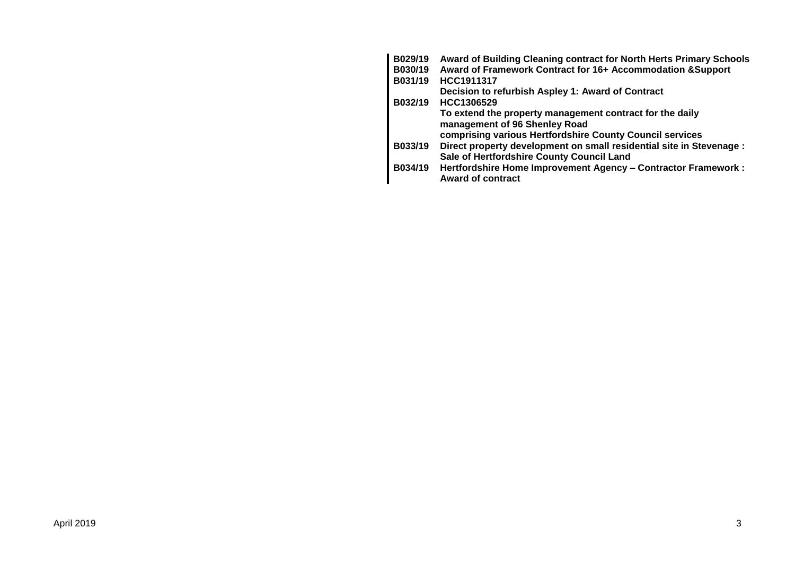| B029/19 | Award of Building Cleaning contract for North Herts Primary Schools  |
|---------|----------------------------------------------------------------------|
| B030/19 | Award of Framework Contract for 16+ Accommodation & Support          |
| B031/19 | HCC1911317                                                           |
|         | Decision to refurbish Aspley 1: Award of Contract                    |
| B032/19 | HCC1306529                                                           |
|         | To extend the property management contract for the daily             |
|         | management of 96 Shenley Road                                        |
|         | comprising various Hertfordshire County Council services             |
| B033/19 | Direct property development on small residential site in Stevenage : |
|         | Sale of Hertfordshire County Council Land                            |
| B034/19 | Hertfordshire Home Improvement Agency - Contractor Framework :       |
|         | <b>Award of contract</b>                                             |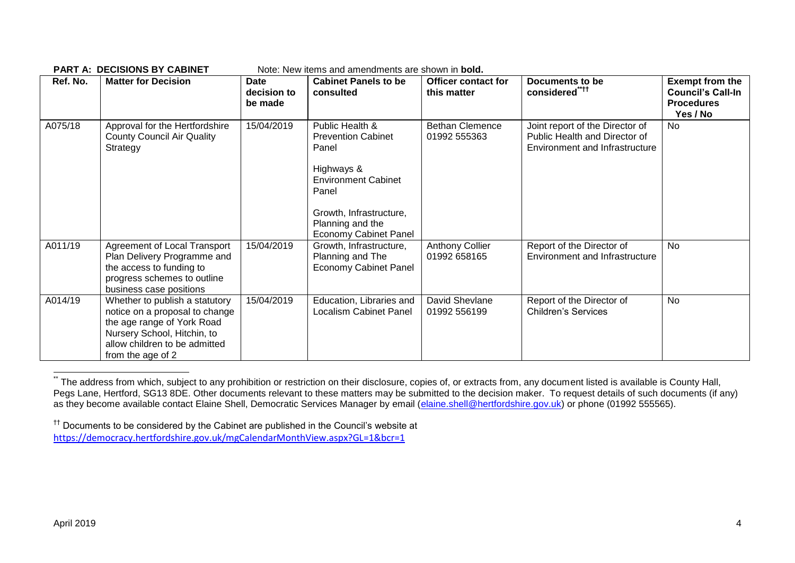| Ref. No. | <b>Matter for Decision</b>                                                                                                                                                          | Date<br>decision to<br>be made | <b>Cabinet Panels to be</b><br>consulted                                                                                                                                                  | <b>Officer contact for</b><br>this matter | Documents to be<br>considered****                                                                  | <b>Exempt from the</b><br><b>Council's Call-In</b><br><b>Procedures</b><br>Yes / No |
|----------|-------------------------------------------------------------------------------------------------------------------------------------------------------------------------------------|--------------------------------|-------------------------------------------------------------------------------------------------------------------------------------------------------------------------------------------|-------------------------------------------|----------------------------------------------------------------------------------------------------|-------------------------------------------------------------------------------------|
| A075/18  | Approval for the Hertfordshire<br><b>County Council Air Quality</b><br>Strategy                                                                                                     | 15/04/2019                     | Public Health &<br><b>Prevention Cabinet</b><br>Panel<br>Highways &<br><b>Environment Cabinet</b><br>Panel<br>Growth, Infrastructure,<br>Planning and the<br><b>Economy Cabinet Panel</b> | <b>Bethan Clemence</b><br>01992 555363    | Joint report of the Director of<br>Public Health and Director of<br>Environment and Infrastructure | <b>No</b>                                                                           |
| A011/19  | Agreement of Local Transport<br>Plan Delivery Programme and<br>the access to funding to<br>progress schemes to outline<br>business case positions                                   | 15/04/2019                     | Growth, Infrastructure,<br>Planning and The<br><b>Economy Cabinet Panel</b>                                                                                                               | <b>Anthony Collier</b><br>01992 658165    | Report of the Director of<br><b>Environment and Infrastructure</b>                                 | No                                                                                  |
| A014/19  | Whether to publish a statutory<br>notice on a proposal to change<br>the age range of York Road<br>Nursery School, Hitchin, to<br>allow children to be admitted<br>from the age of 2 | 15/04/2019                     | Education, Libraries and<br><b>Localism Cabinet Panel</b>                                                                                                                                 | David Shevlane<br>01992 556199            | Report of the Director of<br><b>Children's Services</b>                                            | No                                                                                  |

**PART A: DECISIONS BY CABINET** Note: New items and amendments are shown in **bold.**

<sup>1</sup> The address from which, subject to any prohibition or restriction on their disclosure, copies of, or extracts from, any document listed is available is County Hall, Pegs Lane, Hertford, SG13 8DE. Other documents relevant to these matters may be submitted to the decision maker. To request details of such documents (if any) as they become available contact Elaine Shell, Democratic Services Manager by email [\(elaine.shell@hertfordshire.gov.uk\)](mailto:elaine.shell@hertfordshire.gov.uk) or phone (01992 555565).

<sup>††</sup> Documents to be considered by the Cabinet are published in the Council's website at <https://democracy.hertfordshire.gov.uk/mgCalendarMonthView.aspx?GL=1&bcr=1>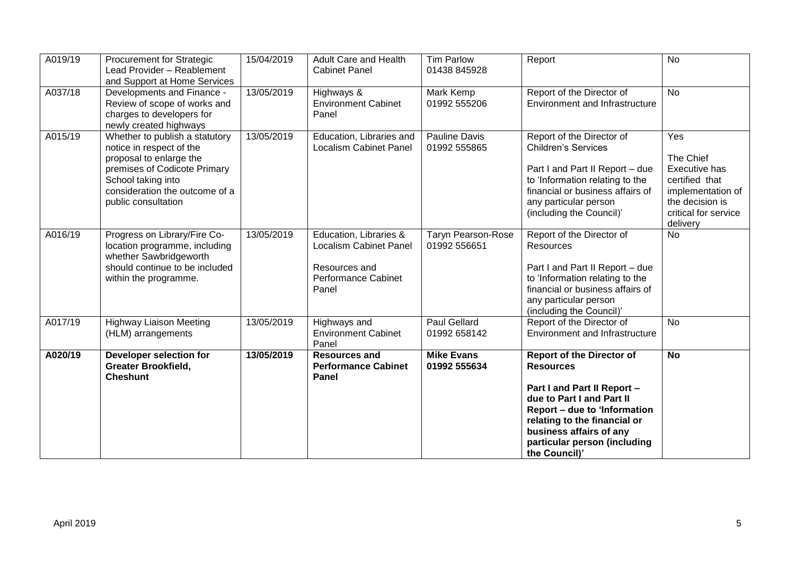| A019/19 | <b>Procurement for Strategic</b><br>Lead Provider - Reablement<br>and Support at Home Services                                                                                                       | 15/04/2019 | <b>Adult Care and Health</b><br><b>Cabinet Panel</b>                                                            | <b>Tim Parlow</b><br>01438 845928         | Report                                                                                                                                                                                                                                                       | <b>No</b>                                                                                                                              |
|---------|------------------------------------------------------------------------------------------------------------------------------------------------------------------------------------------------------|------------|-----------------------------------------------------------------------------------------------------------------|-------------------------------------------|--------------------------------------------------------------------------------------------------------------------------------------------------------------------------------------------------------------------------------------------------------------|----------------------------------------------------------------------------------------------------------------------------------------|
| A037/18 | Developments and Finance -<br>Review of scope of works and<br>charges to developers for<br>newly created highways                                                                                    | 13/05/2019 | Highways &<br><b>Environment Cabinet</b><br>Panel                                                               | Mark Kemp<br>01992 555206                 | Report of the Director of<br>Environment and Infrastructure                                                                                                                                                                                                  | No                                                                                                                                     |
| A015/19 | Whether to publish a statutory<br>notice in respect of the<br>proposal to enlarge the<br>premises of Codicote Primary<br>School taking into<br>consideration the outcome of a<br>public consultation | 13/05/2019 | Education, Libraries and<br><b>Localism Cabinet Panel</b>                                                       | Pauline Davis<br>01992 555865             | Report of the Director of<br><b>Children's Services</b><br>Part I and Part II Report - due<br>to 'Information relating to the<br>financial or business affairs of<br>any particular person<br>(including the Council)'                                       | Yes<br>The Chief<br><b>Executive has</b><br>certified that<br>implementation of<br>the decision is<br>critical for service<br>delivery |
| A016/19 | Progress on Library/Fire Co-<br>location programme, including<br>whether Sawbridgeworth<br>should continue to be included<br>within the programme.                                                   | 13/05/2019 | Education, Libraries &<br><b>Localism Cabinet Panel</b><br>Resources and<br><b>Performance Cabinet</b><br>Panel | <b>Taryn Pearson-Rose</b><br>01992 556651 | Report of the Director of<br>Resources<br>Part I and Part II Report - due<br>to 'Information relating to the<br>financial or business affairs of<br>any particular person<br>(including the Council)'                                                        | <b>No</b>                                                                                                                              |
| A017/19 | <b>Highway Liaison Meeting</b><br>(HLM) arrangements                                                                                                                                                 | 13/05/2019 | Highways and<br><b>Environment Cabinet</b><br>Panel                                                             | <b>Paul Gellard</b><br>01992 658142       | Report of the Director of<br>Environment and Infrastructure                                                                                                                                                                                                  | <b>No</b>                                                                                                                              |
| A020/19 | Developer selection for<br><b>Greater Brookfield,</b><br><b>Cheshunt</b>                                                                                                                             | 13/05/2019 | <b>Resources and</b><br><b>Performance Cabinet</b><br>Panel                                                     | <b>Mike Evans</b><br>01992 555634         | <b>Report of the Director of</b><br><b>Resources</b><br>Part I and Part II Report -<br>due to Part I and Part II<br>Report – due to 'Information<br>relating to the financial or<br>business affairs of any<br>particular person (including<br>the Council)' | <b>No</b>                                                                                                                              |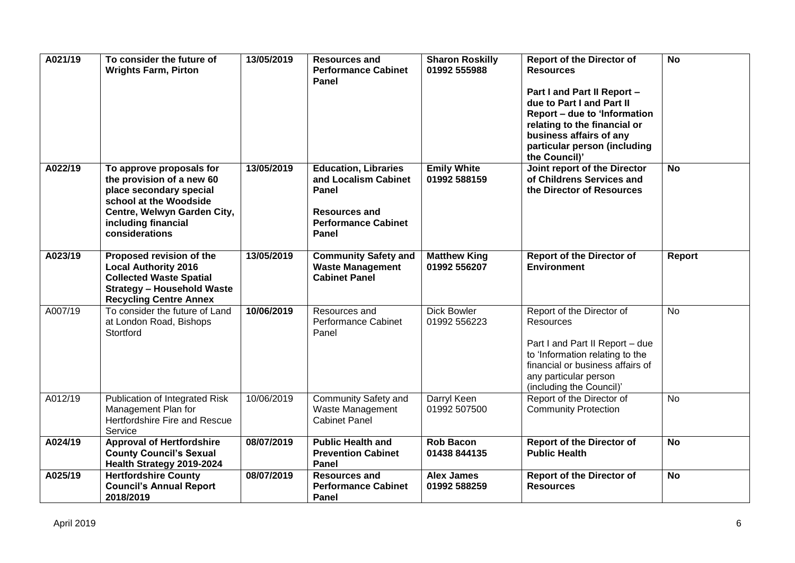| A021/19 | To consider the future of<br><b>Wrights Farm, Pirton</b>                                                                                                                           | 13/05/2019 | <b>Resources and</b><br><b>Performance Cabinet</b><br>Panel                                                                 | <b>Sharon Roskilly</b><br>01992 555988 | <b>Report of the Director of</b><br><b>Resources</b><br>Part I and Part II Report -<br>due to Part I and Part II<br>Report - due to 'Information<br>relating to the financial or<br>business affairs of any<br>particular person (including<br>the Council)' | $\overline{N}$ |
|---------|------------------------------------------------------------------------------------------------------------------------------------------------------------------------------------|------------|-----------------------------------------------------------------------------------------------------------------------------|----------------------------------------|--------------------------------------------------------------------------------------------------------------------------------------------------------------------------------------------------------------------------------------------------------------|----------------|
| A022/19 | To approve proposals for<br>the provision of a new 60<br>place secondary special<br>school at the Woodside<br>Centre, Welwyn Garden City,<br>including financial<br>considerations | 13/05/2019 | <b>Education, Libraries</b><br>and Localism Cabinet<br>Panel<br><b>Resources and</b><br><b>Performance Cabinet</b><br>Panel | <b>Emily White</b><br>01992 588159     | Joint report of the Director<br>of Childrens Services and<br>the Director of Resources                                                                                                                                                                       | <b>No</b>      |
| A023/19 | Proposed revision of the<br><b>Local Authority 2016</b><br><b>Collected Waste Spatial</b><br><b>Strategy - Household Waste</b><br><b>Recycling Centre Annex</b>                    | 13/05/2019 | <b>Community Safety and</b><br><b>Waste Management</b><br><b>Cabinet Panel</b>                                              | <b>Matthew King</b><br>01992 556207    | <b>Report of the Director of</b><br><b>Environment</b>                                                                                                                                                                                                       | Report         |
| A007/19 | To consider the future of Land<br>at London Road, Bishops<br>Stortford                                                                                                             | 10/06/2019 | Resources and<br>Performance Cabinet<br>Panel                                                                               | <b>Dick Bowler</b><br>01992 556223     | Report of the Director of<br>Resources<br>Part I and Part II Report - due<br>to 'Information relating to the<br>financial or business affairs of<br>any particular person<br>(including the Council)'                                                        | <b>No</b>      |
| A012/19 | Publication of Integrated Risk<br>Management Plan for<br>Hertfordshire Fire and Rescue<br>Service                                                                                  | 10/06/2019 | Community Safety and<br>Waste Management<br><b>Cabinet Panel</b>                                                            | Darryl Keen<br>01992 507500            | Report of the Director of<br><b>Community Protection</b>                                                                                                                                                                                                     | <b>No</b>      |
| A024/19 | <b>Approval of Hertfordshire</b><br><b>County Council's Sexual</b><br>Health Strategy 2019-2024                                                                                    | 08/07/2019 | <b>Public Health and</b><br><b>Prevention Cabinet</b><br>Panel                                                              | <b>Rob Bacon</b><br>01438 844135       | <b>Report of the Director of</b><br><b>Public Health</b>                                                                                                                                                                                                     | $\overline{N}$ |
| A025/19 | <b>Hertfordshire County</b><br><b>Council's Annual Report</b><br>2018/2019                                                                                                         | 08/07/2019 | <b>Resources and</b><br><b>Performance Cabinet</b><br>Panel                                                                 | <b>Alex James</b><br>01992 588259      | <b>Report of the Director of</b><br><b>Resources</b>                                                                                                                                                                                                         | $\overline{N}$ |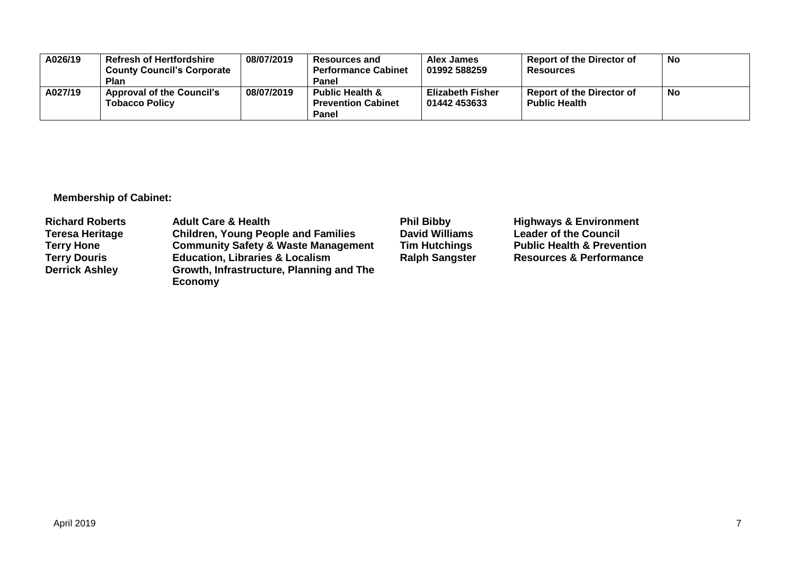| A026/19 | <b>Refresh of Hertfordshire</b><br><b>County Council's Corporate</b><br><b>Plan</b> | 08/07/2019 | <b>Resources and</b><br><b>Performance Cabinet</b><br><b>Panel</b>      | Alex James<br>01992 588259              | <b>Report of the Director of</b><br><b>Resources</b>     | No |
|---------|-------------------------------------------------------------------------------------|------------|-------------------------------------------------------------------------|-----------------------------------------|----------------------------------------------------------|----|
| A027/19 | <b>Approval of the Council's</b><br><b>Tobacco Policy</b>                           | 08/07/2019 | <b>Public Health &amp;</b><br><b>Prevention Cabinet</b><br><b>Panel</b> | <b>Elizabeth Fisher</b><br>01442 453633 | <b>Report of the Director of</b><br><b>Public Health</b> | No |

**Membership of Cabinet:** 

| <b>Richard Roberts</b> | <b>Adult Care &amp; Health</b>                 | <b>Phil Bibby</b>     | <b>Highways &amp; Environment</b>     |
|------------------------|------------------------------------------------|-----------------------|---------------------------------------|
| <b>Teresa Heritage</b> | <b>Children, Young People and Families</b>     | <b>David Williams</b> | <b>Leader of the Council</b>          |
| <b>Terry Hone</b>      | <b>Community Safety &amp; Waste Management</b> | <b>Tim Hutchings</b>  | <b>Public Health &amp; Prevention</b> |
| <b>Terry Douris</b>    | <b>Education, Libraries &amp; Localism</b>     | <b>Ralph Sangster</b> | <b>Resources &amp; Performance</b>    |
| <b>Derrick Ashley</b>  | Growth, Infrastructure, Planning and The       |                       |                                       |
|                        | Economy                                        |                       |                                       |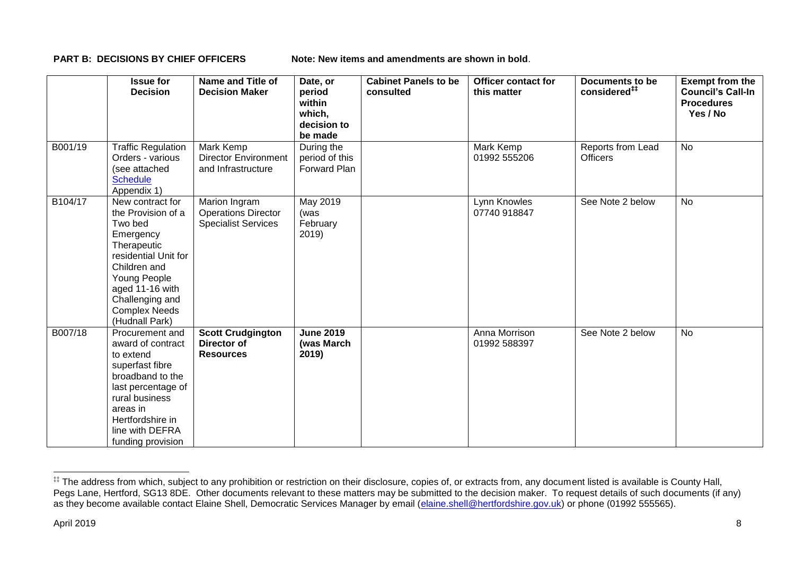**PART B: DECISIONS BY CHIEF OFFICERS Note: New items and amendments are shown in bold.** 

|         | <b>Issue for</b><br><b>Decision</b>                                                                                                                                                                                   | Name and Title of<br><b>Decision Maker</b>                                | Date, or<br>period<br>within<br>which,<br>decision to<br>be made | <b>Cabinet Panels to be</b><br>consulted | <b>Officer contact for</b><br>this matter | <b>Documents to be</b><br>considered <sup>##</sup> | <b>Exempt from the</b><br><b>Council's Call-In</b><br><b>Procedures</b><br>Yes / No |
|---------|-----------------------------------------------------------------------------------------------------------------------------------------------------------------------------------------------------------------------|---------------------------------------------------------------------------|------------------------------------------------------------------|------------------------------------------|-------------------------------------------|----------------------------------------------------|-------------------------------------------------------------------------------------|
| B001/19 | <b>Traffic Regulation</b><br>Orders - various<br>(see attached<br><b>Schedule</b><br>Appendix 1)                                                                                                                      | Mark Kemp<br><b>Director Environment</b><br>and Infrastructure            | During the<br>period of this<br>Forward Plan                     |                                          | Mark Kemp<br>01992 555206                 | Reports from Lead<br><b>Officers</b>               | <b>No</b>                                                                           |
| B104/17 | New contract for<br>the Provision of a<br>Two bed<br>Emergency<br>Therapeutic<br>residential Unit for<br>Children and<br>Young People<br>aged 11-16 with<br>Challenging and<br><b>Complex Needs</b><br>(Hudnall Park) | Marion Ingram<br><b>Operations Director</b><br><b>Specialist Services</b> | May 2019<br>(was<br>February<br>2019)                            |                                          | Lynn Knowles<br>07740 918847              | See Note 2 below                                   | <b>No</b>                                                                           |
| B007/18 | Procurement and<br>award of contract<br>to extend<br>superfast fibre<br>broadband to the<br>last percentage of<br>rural business<br>areas in<br>Hertfordshire in<br>line with DEFRA<br>funding provision              | <b>Scott Crudgington</b><br>Director of<br><b>Resources</b>               | <b>June 2019</b><br>(was March<br>2019)                          |                                          | Anna Morrison<br>01992 588397             | See Note 2 below                                   | <b>No</b>                                                                           |

1

<sup>‡‡</sup> The address from which, subject to any prohibition or restriction on their disclosure, copies of, or extracts from, any document listed is available is County Hall, Pegs Lane, Hertford, SG13 8DE. Other documents relevant to these matters may be submitted to the decision maker. To request details of such documents (if any) as they become available contact Elaine Shell, Democratic Services Manager by email [\(elaine.shell@hertfordshire.gov.uk\)](mailto:elaine.shell@hertfordshire.gov.uk) or phone (01992 55565).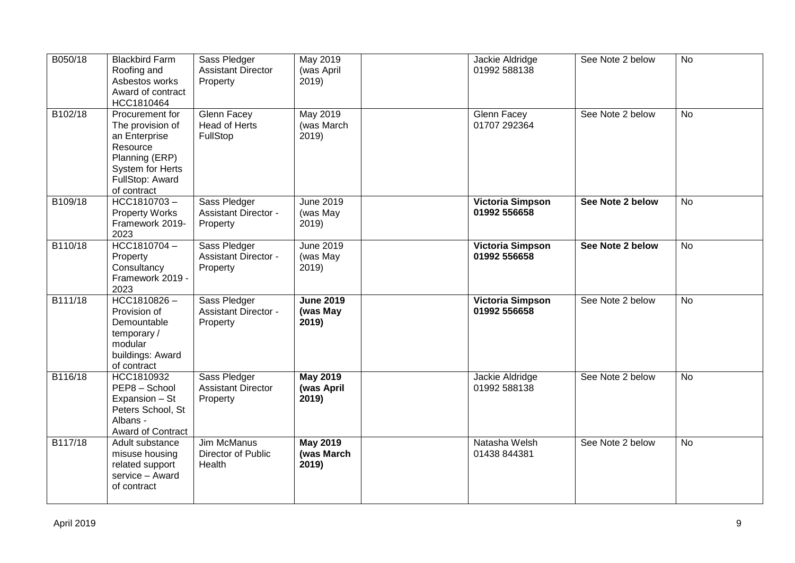| B050/18 | <b>Blackbird Farm</b><br>Roofing and<br>Asbestos works<br>Award of contract<br>HCC1810464                                                       | Sass Pledger<br><b>Assistant Director</b><br>Property   | May 2019<br>(was April<br>2019         | Jackie Aldridge<br>01992 588138         | See Note 2 below | <b>No</b> |
|---------|-------------------------------------------------------------------------------------------------------------------------------------------------|---------------------------------------------------------|----------------------------------------|-----------------------------------------|------------------|-----------|
| B102/18 | Procurement for<br>The provision of<br>an Enterprise<br>Resource<br>Planning (ERP)<br><b>System for Herts</b><br>FullStop: Award<br>of contract | <b>Glenn Facey</b><br><b>Head of Herts</b><br>FullStop  | May 2019<br>(was March<br>2019         | Glenn Facey<br>01707 292364             | See Note 2 below | <b>No</b> |
| B109/18 | HCC1810703-<br><b>Property Works</b><br>Framework 2019-<br>2023                                                                                 | Sass Pledger<br><b>Assistant Director -</b><br>Property | <b>June 2019</b><br>(was May<br>2019)  | <b>Victoria Simpson</b><br>01992 556658 | See Note 2 below | <b>No</b> |
| B110/18 | HCC1810704-<br>Property<br>Consultancy<br>Framework 2019 -<br>2023                                                                              | Sass Pledger<br><b>Assistant Director -</b><br>Property | <b>June 2019</b><br>(was May<br>2019)  | <b>Victoria Simpson</b><br>01992 556658 | See Note 2 below | <b>No</b> |
| B111/18 | HCC1810826-<br>Provision of<br>Demountable<br>temporary/<br>modular<br>buildings: Award<br>of contract                                          | Sass Pledger<br><b>Assistant Director -</b><br>Property | <b>June 2019</b><br>(was May<br>2019)  | <b>Victoria Simpson</b><br>01992 556658 | See Note 2 below | <b>No</b> |
| B116/18 | HCC1810932<br>PEP8 - School<br>Expansion - St<br>Peters School, St<br>Albans -<br>Award of Contract                                             | Sass Pledger<br><b>Assistant Director</b><br>Property   | <b>May 2019</b><br>(was April<br>2019) | Jackie Aldridge<br>01992 588138         | See Note 2 below | No        |
| B117/18 | Adult substance<br>misuse housing<br>related support<br>service - Award<br>of contract                                                          | <b>Jim McManus</b><br>Director of Public<br>Health      | <b>May 2019</b><br>(was March<br>2019) | Natasha Welsh<br>01438 844381           | See Note 2 below | <b>No</b> |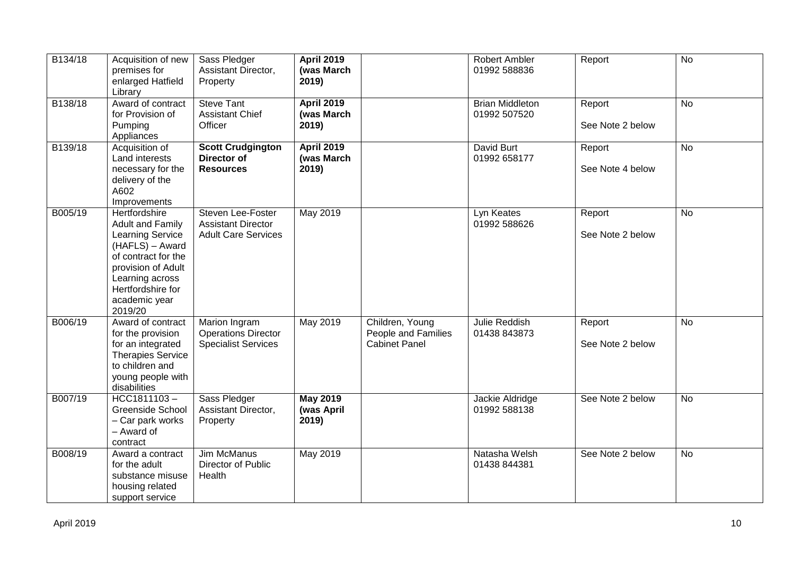| B134/18 | Acquisition of new<br>premises for<br>enlarged Hatfield<br>Library                                                                                                                               | Sass Pledger<br>Assistant Director,<br>Property                              | <b>April 2019</b><br>(was March<br>2019) |                                                                | <b>Robert Ambler</b><br>01992 588836   | Report                     | $\overline{N}$ |
|---------|--------------------------------------------------------------------------------------------------------------------------------------------------------------------------------------------------|------------------------------------------------------------------------------|------------------------------------------|----------------------------------------------------------------|----------------------------------------|----------------------------|----------------|
| B138/18 | Award of contract<br>for Provision of<br>Pumping<br>Appliances                                                                                                                                   | <b>Steve Tant</b><br><b>Assistant Chief</b><br>Officer                       | <b>April 2019</b><br>(was March<br>2019) |                                                                | <b>Brian Middleton</b><br>01992 507520 | Report<br>See Note 2 below | <b>No</b>      |
| B139/18 | Acquisition of<br>Land interests<br>necessary for the<br>delivery of the<br>A602<br>Improvements                                                                                                 | <b>Scott Crudgington</b><br><b>Director of</b><br><b>Resources</b>           | <b>April 2019</b><br>(was March<br>2019) |                                                                | David Burt<br>01992 658177             | Report<br>See Note 4 below | <b>No</b>      |
| B005/19 | Hertfordshire<br>Adult and Family<br><b>Learning Service</b><br>(HAFLS) - Award<br>of contract for the<br>provision of Adult<br>Learning across<br>Hertfordshire for<br>academic year<br>2019/20 | Steven Lee-Foster<br><b>Assistant Director</b><br><b>Adult Care Services</b> | May 2019                                 |                                                                | Lyn Keates<br>01992 588626             | Report<br>See Note 2 below | <b>No</b>      |
| B006/19 | Award of contract<br>for the provision<br>for an integrated<br><b>Therapies Service</b><br>to children and<br>young people with<br>disabilities                                                  | Marion Ingram<br><b>Operations Director</b><br><b>Specialist Services</b>    | May 2019                                 | Children, Young<br>People and Families<br><b>Cabinet Panel</b> | Julie Reddish<br>01438 843873          | Report<br>See Note 2 below | <b>No</b>      |
| B007/19 | HCC1811103-<br><b>Greenside School</b><br>- Car park works<br>- Award of<br>contract                                                                                                             | Sass Pledger<br>Assistant Director,<br>Property                              | <b>May 2019</b><br>(was April<br>2019)   |                                                                | Jackie Aldridge<br>01992 588138        | See Note 2 below           | <b>No</b>      |
| B008/19 | Award a contract<br>for the adult<br>substance misuse<br>housing related<br>support service                                                                                                      | Jim McManus<br>Director of Public<br>Health                                  | May 2019                                 |                                                                | Natasha Welsh<br>01438 844381          | See Note 2 below           | <b>No</b>      |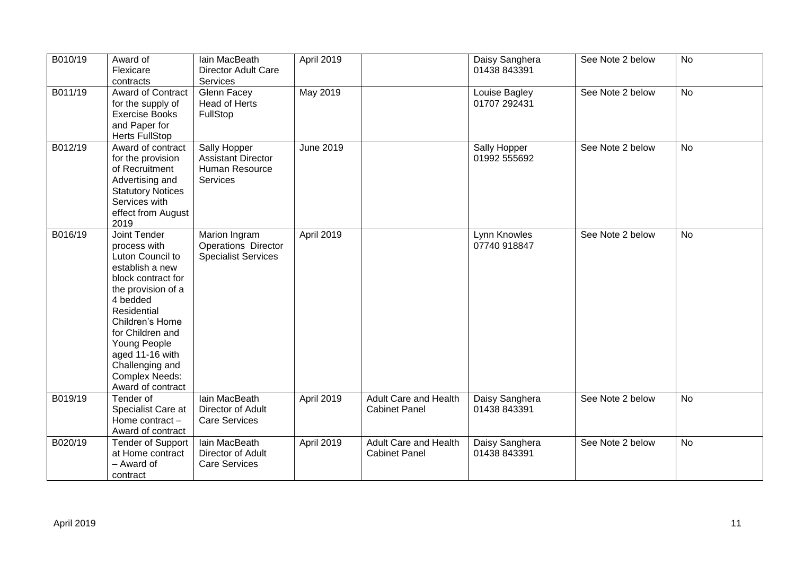| B010/19 | Award of<br>Flexicare<br>contracts                                                                                                                                                                                                                                                    | lain MacBeath<br><b>Director Adult Care</b><br>Services                        | April 2019       |                                                      | Daisy Sanghera<br>01438 843391 | See Note 2 below | No        |
|---------|---------------------------------------------------------------------------------------------------------------------------------------------------------------------------------------------------------------------------------------------------------------------------------------|--------------------------------------------------------------------------------|------------------|------------------------------------------------------|--------------------------------|------------------|-----------|
| B011/19 | Award of Contract<br>for the supply of<br><b>Exercise Books</b><br>and Paper for<br><b>Herts FullStop</b>                                                                                                                                                                             | Glenn Facey<br>Head of Herts<br>FullStop                                       | May 2019         |                                                      | Louise Bagley<br>01707 292431  | See Note 2 below | No        |
| B012/19 | Award of contract<br>for the provision<br>of Recruitment<br>Advertising and<br><b>Statutory Notices</b><br>Services with<br>effect from August<br>2019                                                                                                                                | Sally Hopper<br><b>Assistant Director</b><br>Human Resource<br><b>Services</b> | <b>June 2019</b> |                                                      | Sally Hopper<br>01992 555692   | See Note 2 below | No        |
| B016/19 | Joint Tender<br>process with<br>Luton Council to<br>establish a new<br>block contract for<br>the provision of a<br>4 bedded<br>Residential<br>Children's Home<br>for Children and<br>Young People<br>aged 11-16 with<br>Challenging and<br><b>Complex Needs:</b><br>Award of contract | Marion Ingram<br><b>Operations Director</b><br><b>Specialist Services</b>      | April 2019       |                                                      | Lynn Knowles<br>07740 918847   | See Note 2 below | <b>No</b> |
| B019/19 | Tender of<br>Specialist Care at<br>Home contract -<br>Award of contract                                                                                                                                                                                                               | lain MacBeath<br>Director of Adult<br><b>Care Services</b>                     | April 2019       | <b>Adult Care and Health</b><br><b>Cabinet Panel</b> | Daisy Sanghera<br>01438 843391 | See Note 2 below | No        |
| B020/19 | <b>Tender of Support</b><br>at Home contract<br>- Award of<br>contract                                                                                                                                                                                                                | lain MacBeath<br>Director of Adult<br><b>Care Services</b>                     | April 2019       | Adult Care and Health<br><b>Cabinet Panel</b>        | Daisy Sanghera<br>01438 843391 | See Note 2 below | <b>No</b> |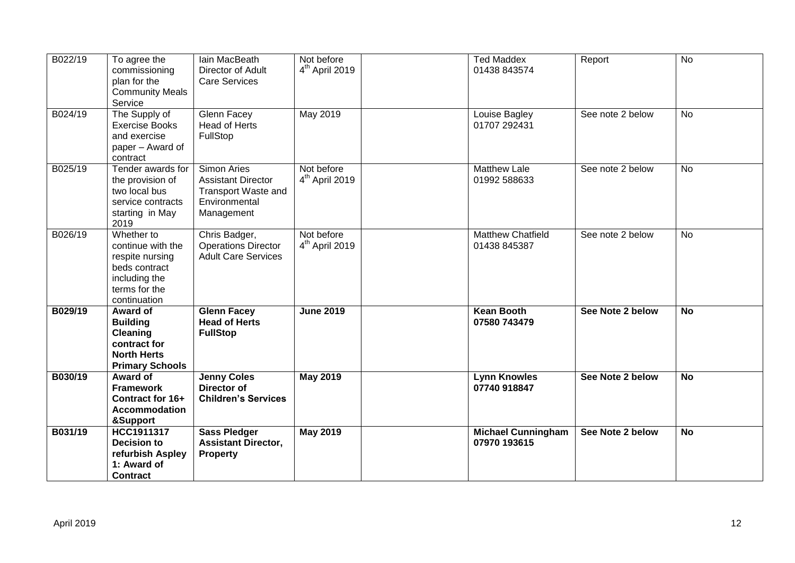| B022/19 | To agree the<br>commissioning<br>plan for the<br><b>Community Meals</b><br>Service                                    | lain MacBeath<br>Director of Adult<br><b>Care Services</b>                                     | Not before<br>$4th$ April 2019 | <b>Ted Maddex</b><br>01438 843574         | Report           | <b>No</b>      |
|---------|-----------------------------------------------------------------------------------------------------------------------|------------------------------------------------------------------------------------------------|--------------------------------|-------------------------------------------|------------------|----------------|
| B024/19 | The Supply of<br><b>Exercise Books</b><br>and exercise<br>paper – Award of<br>contract                                | Glenn Facey<br>Head of Herts<br>FullStop                                                       | May 2019                       | Louise Bagley<br>01707 292431             | See note 2 below | <b>No</b>      |
| B025/19 | Tender awards for<br>the provision of<br>two local bus<br>service contracts<br>starting in May<br>2019                | Simon Aries<br><b>Assistant Director</b><br>Transport Waste and<br>Environmental<br>Management | Not before<br>$4th$ April 2019 | <b>Matthew Lale</b><br>01992 588633       | See note 2 below | <b>No</b>      |
| B026/19 | Whether to<br>continue with the<br>respite nursing<br>beds contract<br>including the<br>terms for the<br>continuation | Chris Badger,<br><b>Operations Director</b><br><b>Adult Care Services</b>                      | Not before<br>$4th$ April 2019 | <b>Matthew Chatfield</b><br>01438 845387  | See note 2 below | No             |
| B029/19 | Award of<br><b>Building</b><br>Cleaning<br>contract for<br><b>North Herts</b><br><b>Primary Schools</b>               | <b>Glenn Facey</b><br><b>Head of Herts</b><br><b>FullStop</b>                                  | <b>June 2019</b>               | <b>Kean Booth</b><br>07580 743479         | See Note 2 below | <b>No</b>      |
| B030/19 | Award of<br><b>Framework</b><br>Contract for 16+<br><b>Accommodation</b><br>&Support                                  | <b>Jenny Coles</b><br><b>Director of</b><br><b>Children's Services</b>                         | <b>May 2019</b>                | <b>Lynn Knowles</b><br>07740 918847       | See Note 2 below | $\overline{N}$ |
| B031/19 | <b>HCC1911317</b><br><b>Decision to</b><br>refurbish Aspley<br>1: Award of<br><b>Contract</b>                         | <b>Sass Pledger</b><br><b>Assistant Director,</b><br><b>Property</b>                           | <b>May 2019</b>                | <b>Michael Cunningham</b><br>07970 193615 | See Note 2 below | <b>No</b>      |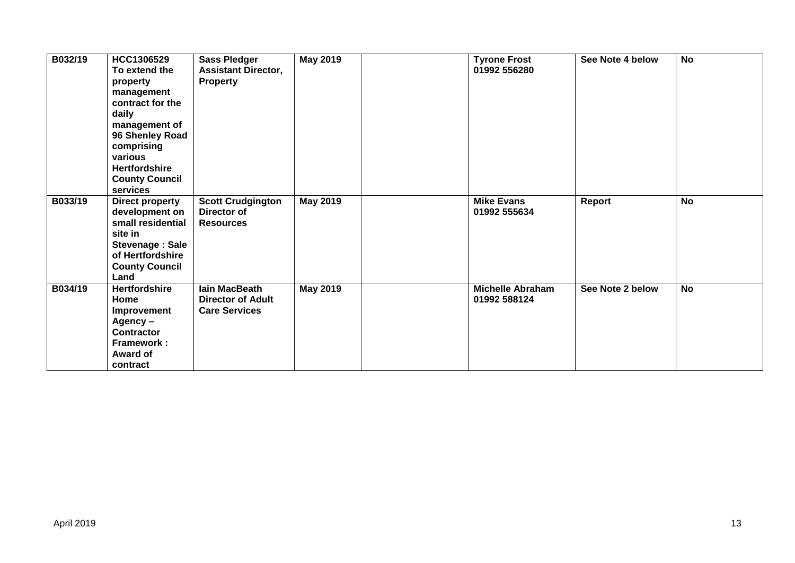| B032/19 | HCC1306529<br>To extend the<br>property<br>management<br>contract for the<br>daily<br>management of<br>96 Shenley Road<br>comprising<br>various<br><b>Hertfordshire</b><br><b>County Council</b><br>services | <b>Sass Pledger</b><br><b>Assistant Director,</b><br><b>Property</b> | <b>May 2019</b> | <b>Tyrone Frost</b><br>01992 556280     | See Note 4 below | <b>No</b> |
|---------|--------------------------------------------------------------------------------------------------------------------------------------------------------------------------------------------------------------|----------------------------------------------------------------------|-----------------|-----------------------------------------|------------------|-----------|
| B033/19 | Direct property<br>development on<br>small residential<br>site in<br><b>Stevenage: Sale</b><br>of Hertfordshire<br><b>County Council</b><br>Land                                                             | <b>Scott Crudgington</b><br>Director of<br><b>Resources</b>          | <b>May 2019</b> | <b>Mike Evans</b><br>01992 555634       | Report           | <b>No</b> |
| B034/19 | <b>Hertfordshire</b><br>Home<br>Improvement<br>Agency-<br><b>Contractor</b><br>Framework:<br><b>Award of</b><br>contract                                                                                     | lain MacBeath<br><b>Director of Adult</b><br><b>Care Services</b>    | <b>May 2019</b> | <b>Michelle Abraham</b><br>01992 588124 | See Note 2 below | <b>No</b> |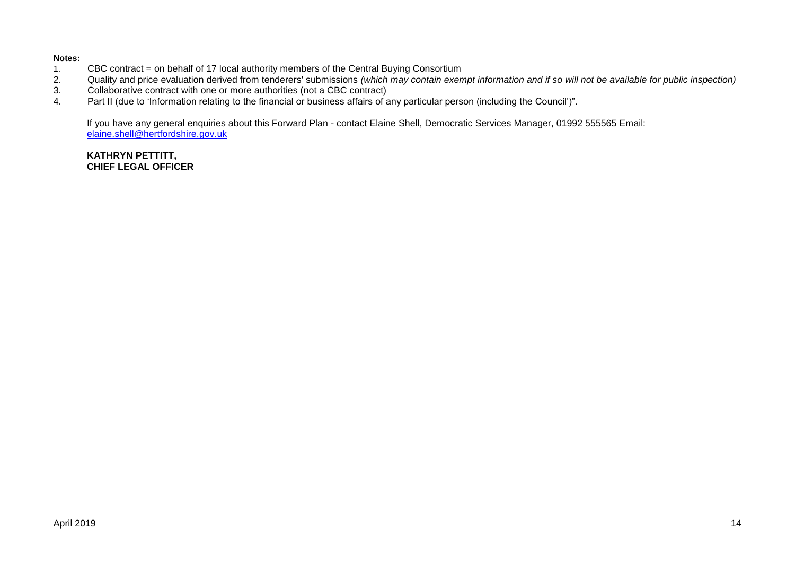#### **Notes:**

- 1. CBC contract = on behalf of 17 local authority members of the Central Buying Consortium<br>2. Quality and price evaluation derived from tenderers' submissions (which may contain exen
- 2. Quality and price evaluation derived from tenderers' submissions *(which may contain exempt information and if so will not be available for public inspection)*
- 3. Collaborative contract with one or more authorities (not a CBC contract)<br>4. Part II (due to 'Information relating to the financial or business affairs of a
- Part II (due to 'Information relating to the financial or business affairs of any particular person (including the Council')".

If you have any general enquiries about this Forward Plan - contact Elaine Shell, Democratic Services Manager, 01992 555565 Email: [elaine.shell@hertfordshire.gov.uk](mailto:elaine.shell@hertfordshire.gov.uk) 

**KATHRYN PETTITT, CHIEF LEGAL OFFICER**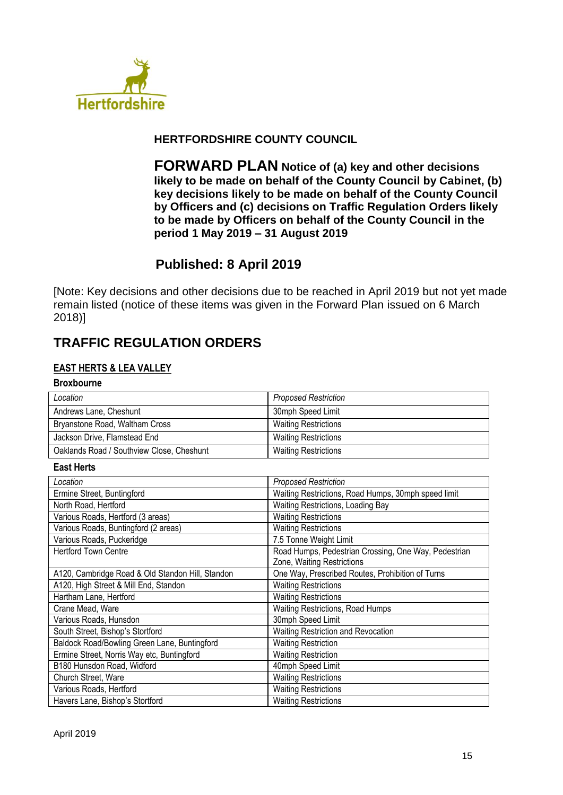

## **HERTFORDSHIRE COUNTY COUNCIL**

**FORWARD PLAN Notice of (a) key and other decisions likely to be made on behalf of the County Council by Cabinet, (b) key decisions likely to be made on behalf of the County Council by Officers and (c) decisions on Traffic Regulation Orders likely to be made by Officers on behalf of the County Council in the period 1 May 2019 – 31 August 2019**

# **Published: 8 April 2019**

[Note: Key decisions and other decisions due to be reached in April 2019 but not yet made remain listed (notice of these items was given in the Forward Plan issued on 6 March 2018)]

# **TRAFFIC REGULATION ORDERS**

#### **EAST HERTS & LEA VALLEY**

# **Broxbourne** *Proposed Restriction* Andrews Lane, Cheshunt 1999 and 1999 and 1999 and 1999 and 1999 and 1999 and 1999 and 1999 and 1999 and 1999 and 1999 and 1999 and 1999 and 1999 and 1999 and 1999 and 1999 and 1999 and 1999 and 1999 and 1999 and 1999 and 1 Bryanstone Road, Waltham Cross Network Channel Waiting Restrictions Jackson Drive, Flamstead End Waiting Restrictions Oaklands Road / Southview Close, Cheshunt Vaiting Restrictions

#### **East Herts**

| Location                                         | <b>Proposed Restriction</b>                                                        |
|--------------------------------------------------|------------------------------------------------------------------------------------|
| Ermine Street, Buntingford                       | Waiting Restrictions, Road Humps, 30mph speed limit                                |
| North Road, Hertford                             | Waiting Restrictions, Loading Bay                                                  |
| Various Roads, Hertford (3 areas)                | <b>Waiting Restrictions</b>                                                        |
| Various Roads, Buntingford (2 areas)             | <b>Waiting Restrictions</b>                                                        |
| Various Roads, Puckeridge                        | 7.5 Tonne Weight Limit                                                             |
| <b>Hertford Town Centre</b>                      | Road Humps, Pedestrian Crossing, One Way, Pedestrian<br>Zone, Waiting Restrictions |
| A120, Cambridge Road & Old Standon Hill, Standon | One Way, Prescribed Routes, Prohibition of Turns                                   |
| A120, High Street & Mill End, Standon            | <b>Waiting Restrictions</b>                                                        |
| Hartham Lane, Hertford                           | <b>Waiting Restrictions</b>                                                        |
| Crane Mead, Ware                                 | Waiting Restrictions, Road Humps                                                   |
| Various Roads, Hunsdon                           | 30mph Speed Limit                                                                  |
| South Street, Bishop's Stortford                 | Waiting Restriction and Revocation                                                 |
| Baldock Road/Bowling Green Lane, Buntingford     | <b>Waiting Restriction</b>                                                         |
| Ermine Street, Norris Way etc, Buntingford       | <b>Waiting Restriction</b>                                                         |
| B180 Hunsdon Road, Widford                       | 40mph Speed Limit                                                                  |
| Church Street, Ware                              | <b>Waiting Restrictions</b>                                                        |
| Various Roads, Hertford                          | <b>Waiting Restrictions</b>                                                        |
| Havers Lane, Bishop's Stortford                  | <b>Waiting Restrictions</b>                                                        |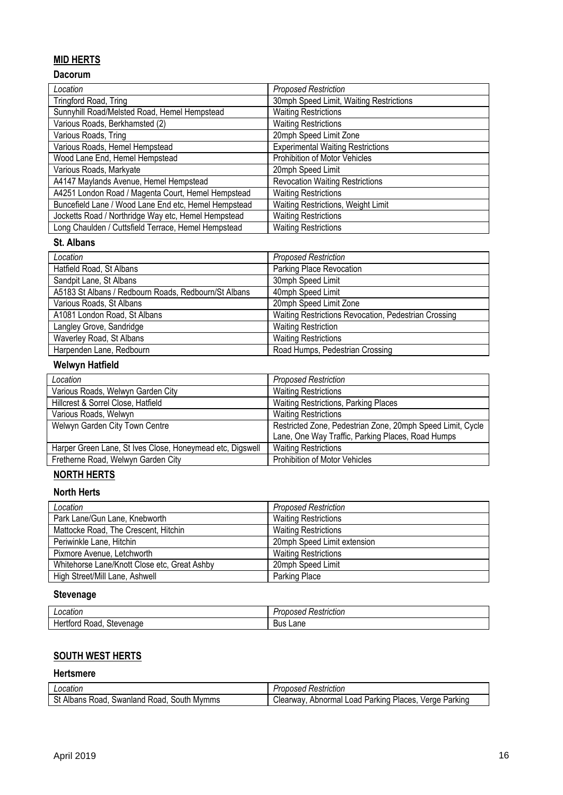## **MID HERTS**

## **Dacorum**

| Location                                             | <b>Proposed Restriction</b>              |
|------------------------------------------------------|------------------------------------------|
| Tringford Road, Tring                                | 30mph Speed Limit, Waiting Restrictions  |
| Sunnyhill Road/Melsted Road, Hemel Hempstead         | <b>Waiting Restrictions</b>              |
| Various Roads, Berkhamsted (2)                       | <b>Waiting Restrictions</b>              |
| Various Roads, Tring                                 | 20mph Speed Limit Zone                   |
| Various Roads, Hemel Hempstead                       | <b>Experimental Waiting Restrictions</b> |
| Wood Lane End, Hemel Hempstead                       | <b>Prohibition of Motor Vehicles</b>     |
| Various Roads, Markyate                              | 20mph Speed Limit                        |
| A4147 Maylands Avenue, Hemel Hempstead               | <b>Revocation Waiting Restrictions</b>   |
| A4251 London Road / Magenta Court, Hemel Hempstead   | <b>Waiting Restrictions</b>              |
| Buncefield Lane / Wood Lane End etc, Hemel Hempstead | Waiting Restrictions, Weight Limit       |
| Jocketts Road / Northridge Way etc, Hemel Hempstead  | <b>Waiting Restrictions</b>              |
| Long Chaulden / Cuttsfield Terrace, Hemel Hempstead  | <b>Waiting Restrictions</b>              |

#### **St. Albans**

| Location                                             | <b>Proposed Restriction</b>                          |
|------------------------------------------------------|------------------------------------------------------|
| Hatfield Road, St Albans                             | Parking Place Revocation                             |
| Sandpit Lane, St Albans                              | 30mph Speed Limit                                    |
| A5183 St Albans / Redbourn Roads, Redbourn/St Albans | 40mph Speed Limit                                    |
| Various Roads, St Albans                             | 20mph Speed Limit Zone                               |
| A1081 London Road, St Albans                         | Waiting Restrictions Revocation, Pedestrian Crossing |
| Langley Grove, Sandridge                             | <b>Waiting Restriction</b>                           |
| Waverley Road, St Albans                             | <b>Waiting Restrictions</b>                          |
| Harpenden Lane, Redbourn                             | Road Humps, Pedestrian Crossing                      |

## **Welwyn Hatfield**

| Location                                                  | <b>Proposed Restriction</b>                                |
|-----------------------------------------------------------|------------------------------------------------------------|
| Various Roads, Welwyn Garden City                         | <b>Waiting Restrictions</b>                                |
| Hillcrest & Sorrel Close, Hatfield                        | Waiting Restrictions, Parking Places                       |
| Various Roads, Welwyn                                     | <b>Waiting Restrictions</b>                                |
| Welwyn Garden City Town Centre                            | Restricted Zone, Pedestrian Zone, 20mph Speed Limit, Cycle |
|                                                           | Lane, One Way Traffic, Parking Places, Road Humps          |
| Harper Green Lane, St Ives Close, Honeymead etc, Digswell | <b>Waiting Restrictions</b>                                |
| Fretherne Road, Welwyn Garden City                        | <b>Prohibition of Motor Vehicles</b>                       |

# **NORTH HERTS**

## **North Herts**

| Location                                     | <b>Proposed Restriction</b> |
|----------------------------------------------|-----------------------------|
| Park Lane/Gun Lane, Knebworth                | <b>Waiting Restrictions</b> |
| Mattocke Road, The Crescent, Hitchin         | <b>Waiting Restrictions</b> |
| Periwinkle Lane, Hitchin                     | 20mph Speed Limit extension |
| Pixmore Avenue, Letchworth                   | <b>Waiting Restrictions</b> |
| Whitehorse Lane/Knott Close etc, Great Ashby | 20mph Speed Limit           |
| High Street/Mill Lane, Ashwell               | Parking Place               |

### **Stevenage**

| ∟ocatie"<br>cation. | Restriction<br>$-$ - - - - $-$<br>vsec.<br>UΙ |
|---------------------|-----------------------------------------------|
| Stevenage           | -                                             |
| Road                | Lane                                          |
| rora                | Bus                                           |

# **SOUTH WEST HERTS**

#### **Hertsmere**

| ∟ocation                                                                  | ≺estrıctıon<br>useu                                                        |
|---------------------------------------------------------------------------|----------------------------------------------------------------------------|
| .<br>$\sim$<br>Albans<br>Mymms<br>30uth<br>Road<br>Swanland<br>≺oac<br>υι | ⌒<br>Places<br>Parkino<br>oad<br>Parking<br>Abnormal<br>لiearwa∨<br>verge: |